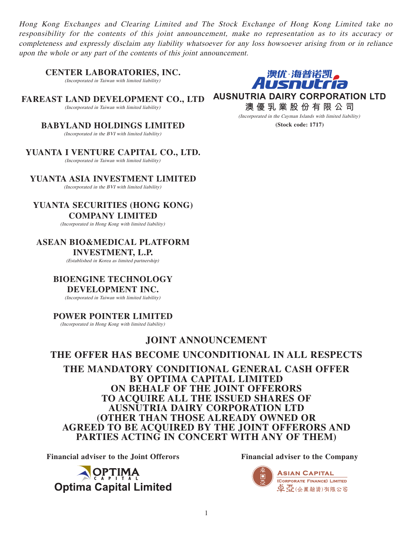Hong Kong Exchanges and Clearing Limited and The Stock Exchange of Hong Kong Limited take no responsibility for the contents of this joint announcement, make no representation as to its accuracy or completeness and expressly disclaim any liability whatsoever for any loss howsoever arising from or in reliance upon the whole or any part of the contents of this joint announcement.

**CENTER LABORATORIES, INC.**

(Incorporated in Taiwan with limited liability)

**FAREAST LAND DEVELOPMENT CO., LTD** (Incorporated in Taiwan with limited liability)

> **BABYLAND HOLDINGS LIMITED** (Incorporated in the BVI with limited liability)

**YUANTA I VENTURE CAPITAL CO., LTD.** (Incorporated in Taiwan with limited liability)

**YUANTA ASIA INVESTMENT LIMITED** (Incorporated in the BVI with limited liability)

**YUANTA SECURITIES (HONG KONG) COMPANY LIMITED**

(Incorporated in Hong Kong with limited liability)

**ASEAN BIO&MEDICAL PLATFORM INVESTMENT, L.P.**

(Established in Korea as limited partnership)

**BIOENGINE TECHNOLOGY** 

# **DEVELOPMENT INC.**

(Incorporated in Taiwan with limited liability)

#### **POWER POINTER LIMITED**

(Incorporated in Hong Kong with limited liability)

# **JOINT ANNOUNCEMENT**

# **THE OFFER HAS BECOME UNCONDITIONAL IN ALL RESPECTS**

**THE MANDATORY CONDITIONAL GENERAL CASH OFFER BY OPTIMA CAPITAL LIMITED ON BEHALF OF THE JOINT OFFERORS TO ACQUIRE ALL THE ISSUED SHARES OF AUSNUTRIA DAIRY CORPORATION LTD (OTHER THAN THOSE ALREADY OWNED OR AGREED TO BE ACQUIRED BY THE JOINT OFFERORS AND PARTIES ACTING IN CONCERT WITH ANY OF THEM)**

**Financial adviser to the Joint Offerors Financial adviser to the Company**







**AUSNUTRIA DAIRY CORPORATION LTD**

**澳優乳業股份有限公司** (Incorporated in the Cayman Islands with limited liability)

**(Stock code: 1717)**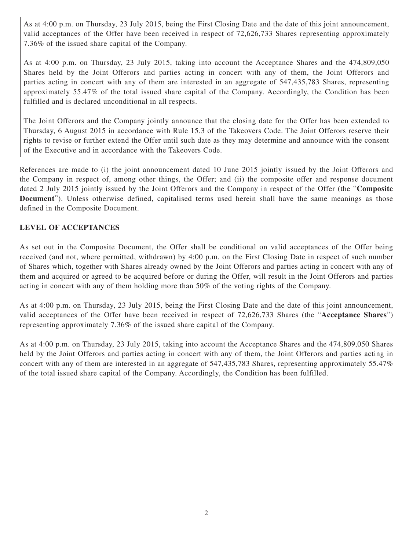As at 4:00 p.m. on Thursday, 23 July 2015, being the First Closing Date and the date of this joint announcement, valid acceptances of the Offer have been received in respect of 72,626,733 Shares representing approximately 7.36% of the issued share capital of the Company.

As at 4:00 p.m. on Thursday, 23 July 2015, taking into account the Acceptance Shares and the 474,809,050 Shares held by the Joint Offerors and parties acting in concert with any of them, the Joint Offerors and parties acting in concert with any of them are interested in an aggregate of 547,435,783 Shares, representing approximately 55.47% of the total issued share capital of the Company. Accordingly, the Condition has been fulfilled and is declared unconditional in all respects.

The Joint Offerors and the Company jointly announce that the closing date for the Offer has been extended to Thursday, 6 August 2015 in accordance with Rule 15.3 of the Takeovers Code. The Joint Offerors reserve their rights to revise or further extend the Offer until such date as they may determine and announce with the consent of the Executive and in accordance with the Takeovers Code.

References are made to (i) the joint announcement dated 10 June 2015 jointly issued by the Joint Offerors and the Company in respect of, among other things, the Offer; and (ii) the composite offer and response document dated 2 July 2015 jointly issued by the Joint Offerors and the Company in respect of the Offer (the "**Composite Document**"). Unless otherwise defined, capitalised terms used herein shall have the same meanings as those defined in the Composite Document.

# **LEVEL OF ACCEPTANCES**

As set out in the Composite Document, the Offer shall be conditional on valid acceptances of the Offer being received (and not, where permitted, withdrawn) by 4:00 p.m. on the First Closing Date in respect of such number of Shares which, together with Shares already owned by the Joint Offerors and parties acting in concert with any of them and acquired or agreed to be acquired before or during the Offer, will result in the Joint Offerors and parties acting in concert with any of them holding more than 50% of the voting rights of the Company.

As at 4:00 p.m. on Thursday, 23 July 2015, being the First Closing Date and the date of this joint announcement, valid acceptances of the Offer have been received in respect of 72,626,733 Shares (the "**Acceptance Shares**") representing approximately 7.36% of the issued share capital of the Company.

As at 4:00 p.m. on Thursday, 23 July 2015, taking into account the Acceptance Shares and the 474,809,050 Shares held by the Joint Offerors and parties acting in concert with any of them, the Joint Offerors and parties acting in concert with any of them are interested in an aggregate of 547,435,783 Shares, representing approximately 55.47% of the total issued share capital of the Company. Accordingly, the Condition has been fulfilled.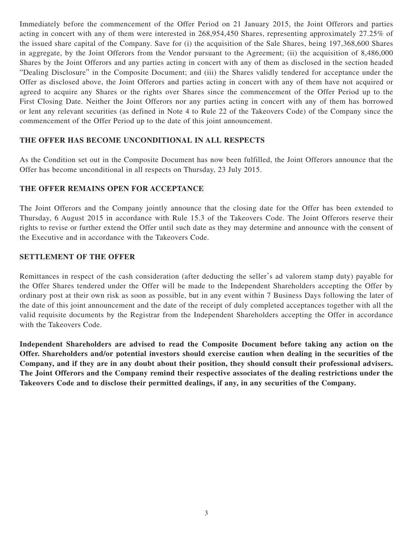Immediately before the commencement of the Offer Period on 21 January 2015, the Joint Offerors and parties acting in concert with any of them were interested in 268,954,450 Shares, representing approximately 27.25% of the issued share capital of the Company. Save for (i) the acquisition of the Sale Shares, being 197,368,600 Shares in aggregate, by the Joint Offerors from the Vendor pursuant to the Agreement; (ii) the acquisition of 8,486,000 Shares by the Joint Offerors and any parties acting in concert with any of them as disclosed in the section headed "Dealing Disclosure" in the Composite Document; and (iii) the Shares validly tendered for acceptance under the Offer as disclosed above, the Joint Offerors and parties acting in concert with any of them have not acquired or agreed to acquire any Shares or the rights over Shares since the commencement of the Offer Period up to the First Closing Date. Neither the Joint Offerors nor any parties acting in concert with any of them has borrowed or lent any relevant securities (as defined in Note 4 to Rule 22 of the Takeovers Code) of the Company since the commencement of the Offer Period up to the date of this joint announcement.

## **THE OFFER HAS BECOME UNCONDITIONAL IN ALL RESPECTS**

As the Condition set out in the Composite Document has now been fulfilled, the Joint Offerors announce that the Offer has become unconditional in all respects on Thursday, 23 July 2015.

## **THE OFFER REMAINS OPEN FOR ACCEPTANCE**

The Joint Offerors and the Company jointly announce that the closing date for the Offer has been extended to Thursday, 6 August 2015 in accordance with Rule 15.3 of the Takeovers Code. The Joint Offerors reserve their rights to revise or further extend the Offer until such date as they may determine and announce with the consent of the Executive and in accordance with the Takeovers Code.

#### **SETTLEMENT OF THE OFFER**

Remittances in respect of the cash consideration (after deducting the seller's ad valorem stamp duty) payable for the Offer Shares tendered under the Offer will be made to the Independent Shareholders accepting the Offer by ordinary post at their own risk as soon as possible, but in any event within 7 Business Days following the later of the date of this joint announcement and the date of the receipt of duly completed acceptances together with all the valid requisite documents by the Registrar from the Independent Shareholders accepting the Offer in accordance with the Takeovers Code.

**Independent Shareholders are advised to read the Composite Document before taking any action on the Offer. Shareholders and/or potential investors should exercise caution when dealing in the securities of the Company, and if they are in any doubt about their position, they should consult their professional advisers. The Joint Offerors and the Company remind their respective associates of the dealing restrictions under the Takeovers Code and to disclose their permitted dealings, if any, in any securities of the Company.**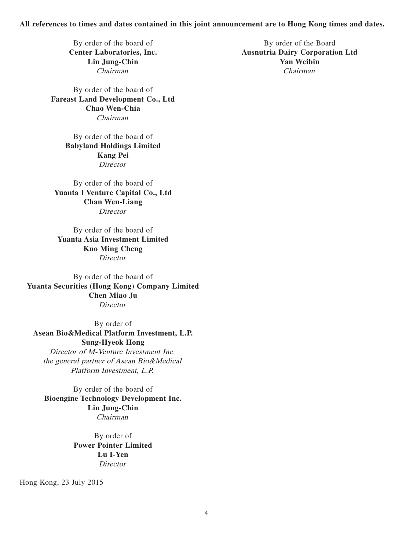#### **All references to times and dates contained in this joint announcement are to Hong Kong times and dates.**

By order of the board of **Fareast Land Development Co., Ltd Chao Wen-Chia** Chairman

> By order of the board of **Babyland Holdings Limited Kang Pei Director**

By order of the board of **Yuanta I Venture Capital Co., Ltd Chan Wen-Liang Director** 

By order of the board of **Yuanta Asia Investment Limited Kuo Ming Cheng Director** 

By order of the board of **Yuanta Securities (Hong Kong) Company Limited Chen Miao Ju Director** 

By order of **Asean Bio&Medical Platform Investment, L.P. Sung-Hyeok Hong** Director of M-Venture Investment Inc. the general partner of Asean Bio&Medical Platform Investment, L.P.

By order of the board of **Bioengine Technology Development Inc. Lin Jung-Chin** Chairman

> By order of **Power Pointer Limited Lu I-Yen** Director

Hong Kong, 23 July 2015

By order of the board of By order of the Board **Center Laboratories, Inc. Ausnutria Dairy Corporation Ltd Lin Jung-Chin Yan Weibin** Chairman Chairman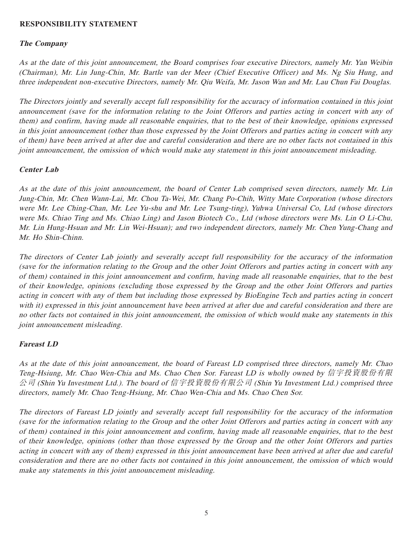### **RESPONSIBILITY STATEMENT**

#### **The Company**

As at the date of this joint announcement, the Board comprises four executive Directors, namely Mr. Yan Weibin (Chairman), Mr. Lin Jung-Chin, Mr. Bartle van der Meer (Chief Executive Officer) and Ms. Ng Siu Hung, and three independent non-executive Directors, namely Mr. Qiu Weifa, Mr. Jason Wan and Mr. Lau Chun Fai Douglas.

The Directors jointly and severally accept full responsibility for the accuracy of information contained in this joint announcement (save for the information relating to the Joint Offerors and parties acting in concert with any of them) and confirm, having made all reasonable enquiries, that to the best of their knowledge, opinions expressed in this joint announcement (other than those expressed by the Joint Offerors and parties acting in concert with any of them) have been arrived at after due and careful consideration and there are no other facts not contained in this joint announcement, the omission of which would make any statement in this joint announcement misleading.

#### **Center Lab**

As at the date of this joint announcement, the board of Center Lab comprised seven directors, namely Mr. Lin Jung-Chin, Mr. Chen Wann-Lai, Mr. Chou Ta-Wei, Mr. Chang Po-Chih, Witty Mate Corporation (whose directors were Mr. Lee Ching-Chan, Mr. Lee Yu-shu and Mr. Lee Tsung-ting), Yuhwa Universal Co, Ltd (whose directors were Ms. Chiao Ting and Ms. Chiao Ling) and Jason Biotech Co., Ltd (whose directors were Ms. Lin O Li-Chu, Mr. Lin Hung-Hsuan and Mr. Lin Wei-Hsuan); and two independent directors, namely Mr. Chen Yung-Chang and Mr. Ho Shin-Chinn.

The directors of Center Lab jointly and severally accept full responsibility for the accuracy of the information (save for the information relating to the Group and the other Joint Offerors and parties acting in concert with any of them) contained in this joint announcement and confirm, having made all reasonable enquiries, that to the best of their knowledge, opinions (excluding those expressed by the Group and the other Joint Offerors and parties acting in concert with any of them but including those expressed by BioEngine Tech and parties acting in concert with it) expressed in this joint announcement have been arrived at after due and careful consideration and there are no other facts not contained in this joint announcement, the omission of which would make any statements in this joint announcement misleading.

#### **Fareast LD**

As at the date of this joint announcement, the board of Fareast LD comprised three directors, namely Mr. Chao Teng-Hsiung, Mr. Chao Wen-Chia and Ms. Chao Chen Sor. Fareast LD is wholly owned by 信宇投資股份有限 公司 (Shin Yu Investment Ltd.). The board of 信宇投資股份有限公司 (Shin Yu Investment Ltd.) comprised three directors, namely Mr. Chao Teng-Hsiung, Mr. Chao Wen-Chia and Ms. Chao Chen Sor.

The directors of Fareast LD jointly and severally accept full responsibility for the accuracy of the information (save for the information relating to the Group and the other Joint Offerors and parties acting in concert with any of them) contained in this joint announcement and confirm, having made all reasonable enquiries, that to the best of their knowledge, opinions (other than those expressed by the Group and the other Joint Offerors and parties acting in concert with any of them) expressed in this joint announcement have been arrived at after due and careful consideration and there are no other facts not contained in this joint announcement, the omission of which would make any statements in this joint announcement misleading.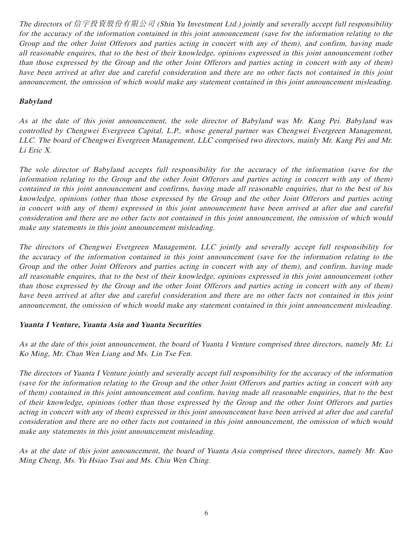The directors of 信宇投資股份有限公司 (Shin Yu Investment Ltd.) jointly and severally accept full responsibility for the accuracy of the information contained in this joint announcement (save for the information relating to the Group and the other Joint Offerors and parties acting in concert with any of them), and confirm, having made all reasonable enquires, that to the best of their knowledge, opinions expressed in this joint announcement (other than those expressed by the Group and the other Joint Offerors and parties acting in concert with any of them) have been arrived at after due and careful consideration and there are no other facts not contained in this joint announcement, the omission of which would make any statement contained in this joint announcement misleading.

# **Babyland**

As at the date of this joint announcement, the sole director of Babyland was Mr. Kang Pei. Babyland was controlled by Chengwei Evergreen Capital, L.P., whose general partner was Chengwei Evergreen Management, LLC. The board of Chengwei Evergreen Management, LLC comprised two directors, mainly Mr. Kang Pei and Mr. Li Eric X.

The sole director of Babyland accepts full responsibility for the accuracy of the information (save for the information relating to the Group and the other Joint Offerors and parties acting in concert with any of them) contained in this joint announcement and confirms, having made all reasonable enquiries, that to the best of his knowledge, opinions (other than those expressed by the Group and the other Joint Offerors and parties acting in concert with any of them) expressed in this joint announcement have been arrived at after due and careful consideration and there are no other facts not contained in this joint announcement, the omission of which would make any statements in this joint announcement misleading.

The directors of Chengwei Evergreen Management, LLC jointly and severally accept full responsibility for the accuracy of the information contained in this joint announcement (save for the information relating to the Group and the other Joint Offerors and parties acting in concert with any of them), and confirm, having made all reasonable enquires, that to the best of their knowledge, opinions expressed in this joint announcement (other than those expressed by the Group and the other Joint Offerors and parties acting in concert with any of them) have been arrived at after due and careful consideration and there are no other facts not contained in this joint announcement, the omission of which would make any statement contained in this joint announcement misleading.

## **Yuanta I Venture, Yuanta Asia and Yuanta Securities**

As at the date of this joint announcement, the board of Yuanta I Venture comprised three directors, namely Mr. Li Ko Ming, Mr. Chan Wen Liang and Ms. Lin Tse Fen.

The directors of Yuanta I Venture jointly and severally accept full responsibility for the accuracy of the information (save for the information relating to the Group and the other Joint Offerors and parties acting in concert with any of them) contained in this joint announcement and confirm, having made all reasonable enquiries, that to the best of their knowledge, opinions (other than those expressed by the Group and the other Joint Offerors and parties acting in concert with any of them) expressed in this joint announcement have been arrived at after due and careful consideration and there are no other facts not contained in this joint announcement, the omission of which would make any statements in this joint announcement misleading.

As at the date of this joint announcement, the board of Yuanta Asia comprised three directors, namely Mr. Kuo Ming Cheng, Ms. Yu Hsiao Tsui and Ms. Chiu Wen Ching.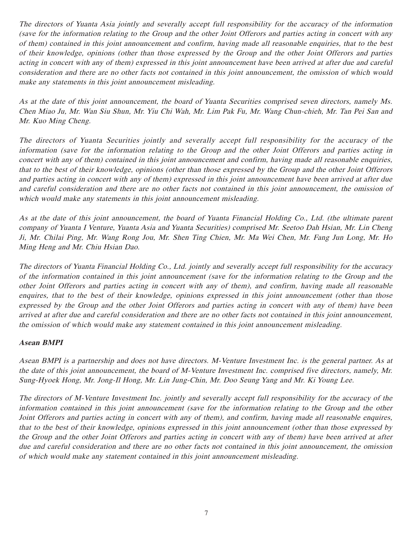The directors of Yuanta Asia jointly and severally accept full responsibility for the accuracy of the information (save for the information relating to the Group and the other Joint Offerors and parties acting in concert with any of them) contained in this joint announcement and confirm, having made all reasonable enquiries, that to the best of their knowledge, opinions (other than those expressed by the Group and the other Joint Offerors and parties acting in concert with any of them) expressed in this joint announcement have been arrived at after due and careful consideration and there are no other facts not contained in this joint announcement, the omission of which would make any statements in this joint announcement misleading.

As at the date of this joint announcement, the board of Yuanta Securities comprised seven directors, namely Ms. Chen Miao Ju, Mr. Wan Siu Shun, Mr. Yiu Chi Wah, Mr. Lim Pak Fu, Mr. Wang Chun-chieh, Mr. Tan Pei San and Mr. Kuo Ming Cheng.

The directors of Yuanta Securities jointly and severally accept full responsibility for the accuracy of the information (save for the information relating to the Group and the other Joint Offerors and parties acting in concert with any of them) contained in this joint announcement and confirm, having made all reasonable enquiries, that to the best of their knowledge, opinions (other than those expressed by the Group and the other Joint Offerors and parties acting in concert with any of them) expressed in this joint announcement have been arrived at after due and careful consideration and there are no other facts not contained in this joint announcement, the omission of which would make any statements in this joint announcement misleading.

As at the date of this joint announcement, the board of Yuanta Financial Holding Co., Ltd. (the ultimate parent company of Yuanta I Venture, Yuanta Asia and Yuanta Securities) comprised Mr. Seetoo Dah Hsian, Mr. Lin Cheng Ji, Mr. Chilai Ping, Mr. Wang Rong Jou, Mr. Shen Ting Chien, Mr. Ma Wei Chen, Mr. Fang Jun Long, Mr. Ho Ming Heng and Mr. Chiu Hsian Dao.

The directors of Yuanta Financial Holding Co., Ltd. jointly and severally accept full responsibility for the accuracy of the information contained in this joint announcement (save for the information relating to the Group and the other Joint Offerors and parties acting in concert with any of them), and confirm, having made all reasonable enquires, that to the best of their knowledge, opinions expressed in this joint announcement (other than those expressed by the Group and the other Joint Offerors and parties acting in concert with any of them) have been arrived at after due and careful consideration and there are no other facts not contained in this joint announcement, the omission of which would make any statement contained in this joint announcement misleading.

## **Asean BMPI**

Asean BMPI is a partnership and does not have directors. M-Venture Investment Inc. is the general partner. As at the date of this joint announcement, the board of M-Venture Investment Inc. comprised five directors, namely, Mr. Sung-Hyoek Hong, Mr. Jong-Il Hong, Mr. Lin Jung-Chin, Mr. Doo Seung Yang and Mr. Ki Young Lee.

The directors of M-Venture Investment Inc. jointly and severally accept full responsibility for the accuracy of the information contained in this joint announcement (save for the information relating to the Group and the other Joint Offerors and parties acting in concert with any of them), and confirm, having made all reasonable enquires, that to the best of their knowledge, opinions expressed in this joint announcement (other than those expressed by the Group and the other Joint Offerors and parties acting in concert with any of them) have been arrived at after due and careful consideration and there are no other facts not contained in this joint announcement, the omission of which would make any statement contained in this joint announcement misleading.